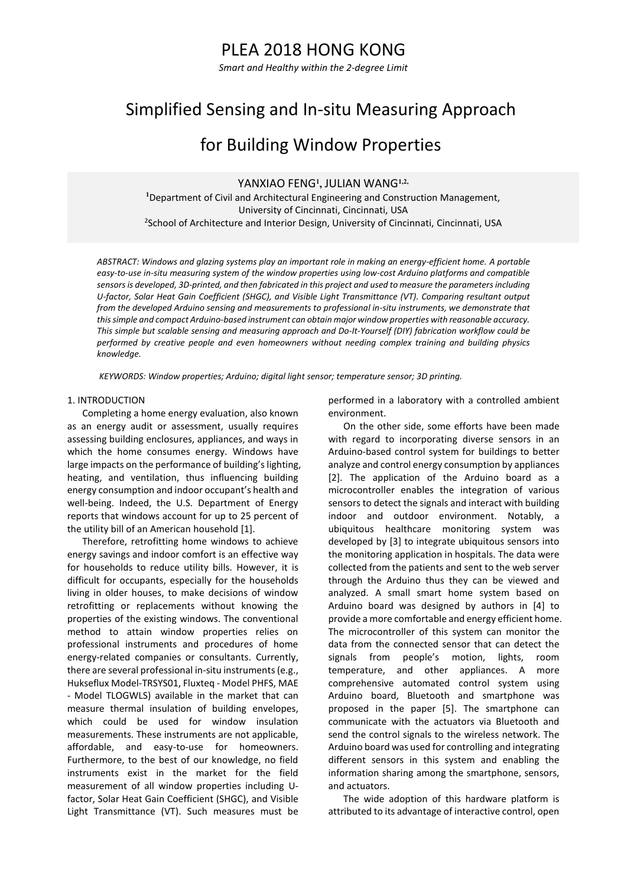## PLEA 2018 HONG KONG

*Smart and Healthy within the 2-degree Limit*

# Simplified Sensing and In-situ Measuring Approach

## for Building Window Properties

YANXIAO FENG**<sup>1</sup> ,** JULIAN WANG**1,2,**

**<sup>1</sup>**Department of Civil and Architectural Engineering and Construction Management, University of Cincinnati, Cincinnati, USA <sup>2</sup>School of Architecture and Interior Design, University of Cincinnati, Cincinnati, USA

ABSTRACT: Windows and glazing systems play an important role in making an energy-efficient home. A portable *easy-to-use in-situ measuring system of the window properties using low-cost Arduino platforms and compatible sensors is developed, 3D-printed, and then fabricated in this project and used to measure the parameters including U-factor, Solar Heat Gain Coefficient (SHGC), and Visible Light Transmittance (VT). Comparing resultant output from the developed Arduino sensing and measurements to professional in-situ instruments, we demonstrate that this simple and compact Arduino-based instrument can obtain major window properties with reasonable accuracy. This simple but scalable sensing and measuring approach and Do-It-Yourself (DIY) fabrication workflow could be performed by creative people and even homeowners without needing complex training and building physics knowledge.* 

*KEYWORDS: Window properties; Arduino; digital light sensor; temperature sensor; 3D printing.*

#### 1. INTRODUCTION

Completing a home energy evaluation, also known as an energy audit or assessment, usually requires assessing building enclosures, appliances, and ways in which the home consumes energy. Windows have large impacts on the performance of building's lighting, heating, and ventilation, thus influencing building energy consumption and indoor occupant's health and well-being. Indeed, the U.S. Department of Energy reports that windows account for up to 25 percent of the utility bill of an American household [1].

Therefore, retrofitting home windows to achieve energy savings and indoor comfort is an effective way for households to reduce utility bills. However, it is difficult for occupants, especially for the households living in older houses, to make decisions of window retrofitting or replacements without knowing the properties of the existing windows. The conventional method to attain window properties relies on professional instruments and procedures of home energy-related companies or consultants. Currently, there are several professional in-situ instruments(e.g., Hukseflux Model-TRSYS01, Fluxteq - Model PHFS, MAE - Model TLOGWLS) available in the market that can measure thermal insulation of building envelopes, which could be used for window insulation measurements. These instruments are not applicable, affordable, and easy-to-use for homeowners. Furthermore, to the best of our knowledge, no field instruments exist in the market for the field measurement of all window properties including Ufactor, Solar Heat Gain Coefficient (SHGC), and Visible Light Transmittance (VT). Such measures must be performed in a laboratory with a controlled ambient environment.

On the other side, some efforts have been made with regard to incorporating diverse sensors in an Arduino-based control system for buildings to better analyze and control energy consumption by appliances [2]. The application of the Arduino board as a microcontroller enables the integration of various sensors to detect the signals and interact with building indoor and outdoor environment. Notably, a ubiquitous healthcare monitoring system was developed by [3] to integrate ubiquitous sensors into the monitoring application in hospitals. The data were collected from the patients and sent to the web server through the Arduino thus they can be viewed and analyzed. A small smart home system based on Arduino board was designed by authors in [4] to provide a more comfortable and energy efficient home. The microcontroller of this system can monitor the data from the connected sensor that can detect the signals from people's motion, lights, room temperature, and other appliances. A more comprehensive automated control system using Arduino board, Bluetooth and smartphone was proposed in the paper [5]. The smartphone can communicate with the actuators via Bluetooth and send the control signals to the wireless network. The Arduino board was used for controlling and integrating different sensors in this system and enabling the information sharing among the smartphone, sensors, and actuators.

The wide adoption of this hardware platform is attributed to its advantage of interactive control, open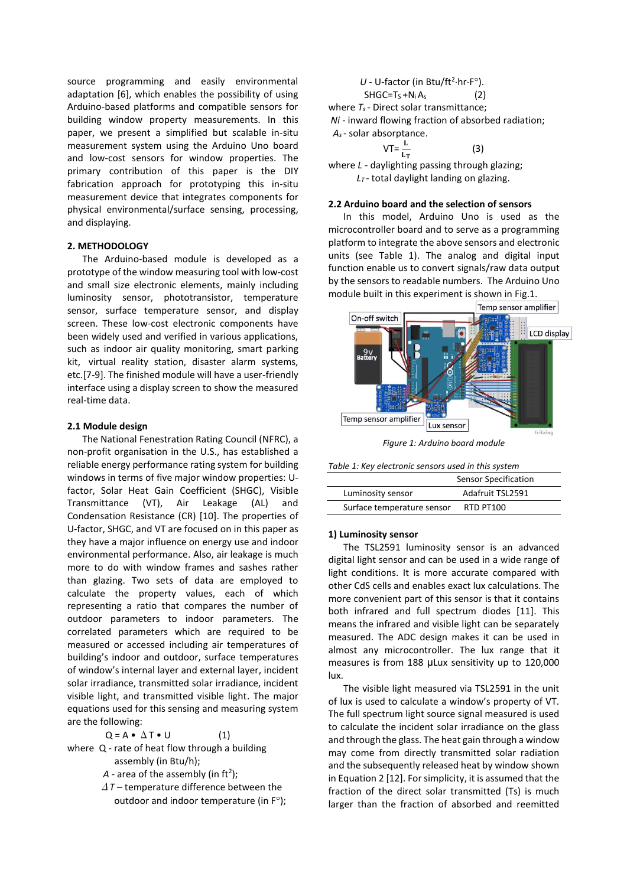source programming and easily environmental adaptation [6], which enables the possibility of using Arduino-based platforms and compatible sensors for building window property measurements. In this paper, we present a simplified but scalable in-situ measurement system using the Arduino Uno board and low-cost sensors for window properties. The primary contribution of this paper is the DIY fabrication approach for prototyping this in-situ measurement device that integrates components for physical environmental/surface sensing, processing, and displaying.

## **2. METHODOLOGY**

The Arduino-based module is developed as a prototype of the window measuring tool with low-cost and small size electronic elements, mainly including luminosity sensor, phototransistor, temperature sensor, surface temperature sensor, and display screen. These low-cost electronic components have been widely used and verified in various applications, such as indoor air quality monitoring, smart parking kit, virtual reality station, disaster alarm systems, etc.[7-9]. The finished module will have a user-friendly interface using a display screen to show the measured real-time data.

## **2.1 Module design**

The National Fenestration Rating Council (NFRC), a non-profit organisation in the U.S., has established a reliable energy performance rating system for building windows in terms of five major window properties: Ufactor, Solar Heat Gain Coefficient (SHGC), Visible Transmittance (VT), Air Leakage (AL) and Condensation Resistance (CR) [10]. The properties of U-factor, SHGC, and VT are focused on in this paper as they have a major influence on energy use and indoor environmental performance. Also, air leakage is much more to do with window frames and sashes rather than glazing. Two sets of data are employed to calculate the property values, each of which representing a ratio that compares the number of outdoor parameters to indoor parameters. The correlated parameters which are required to be measured or accessed including air temperatures of building's indoor and outdoor, surface temperatures of window's internal layer and external layer, incident solar irradiance, transmitted solar irradiance, incident visible light, and transmitted visible light. The major equations used for this sensing and measuring system are the following:

 $Q = A \cdot \Delta T \cdot U$  (1)

where Q - rate of heat flow through a building assembly (in Btu/h);

 $A$  - area of the assembly (in ft<sup>2</sup>);

Δ*T* – temperature difference between the outdoor and indoor temperature (in  $F^{\circ}$ );

$$
U - U-factor (in Btu/ft2·hr·Fo).\nSHGC=TS+Ni As (2)\nwhere  $T_s$ - Direct solar transmittance;  
\n*Ni* - inward flowing fraction of absorbed radiation;  
\n $A_s$ - solar absorptance.
$$

$$
VT = \frac{L}{L_T} \tag{3}
$$

where *L* - daylighting passing through glazing; *L<sup>T</sup>* - total daylight landing on glazing.

## **2.2 Arduino board and the selection of sensors**

In this model, Arduino Uno is used as the microcontroller board and to serve as a programming platform to integrate the above sensors and electronic units (see Table 1). The analog and digital input function enable us to convert signals/raw data output by the sensors to readable numbers. The Arduino Uno module built in this experiment is shown in Fig.1.



*Figure 1: Arduino board module*

| Table 1: Key electronic sensors used in this system |  |
|-----------------------------------------------------|--|
|-----------------------------------------------------|--|

|                            | Sensor Specification |  |  |
|----------------------------|----------------------|--|--|
| Luminosity sensor          | Adafruit TSL2591     |  |  |
| Surface temperature sensor | RTD PT100            |  |  |

#### **1) Luminosity sensor**

The TSL2591 luminosity sensor is an advanced digital light sensor and can be used in a wide range of light conditions. It is more accurate compared with other CdS cells and enables exact lux calculations. The more convenient part of this sensor is that it contains both infrared and full spectrum diodes [11]. This means the infrared and visible light can be separately measured. The ADC design makes it can be used in almost any microcontroller. The lux range that it measures is from 188 μLux sensitivity up to 120,000 lux.

The visible light measured via TSL2591 in the unit of lux is used to calculate a window's property of VT. The full spectrum light source signal measured is used to calculate the incident solar irradiance on the glass and through the glass. The heat gain through a window may come from directly transmitted solar radiation and the subsequently released heat by window shown in Equation 2 [12]. For simplicity, it is assumed that the fraction of the direct solar transmitted (Ts) is much larger than the fraction of absorbed and reemitted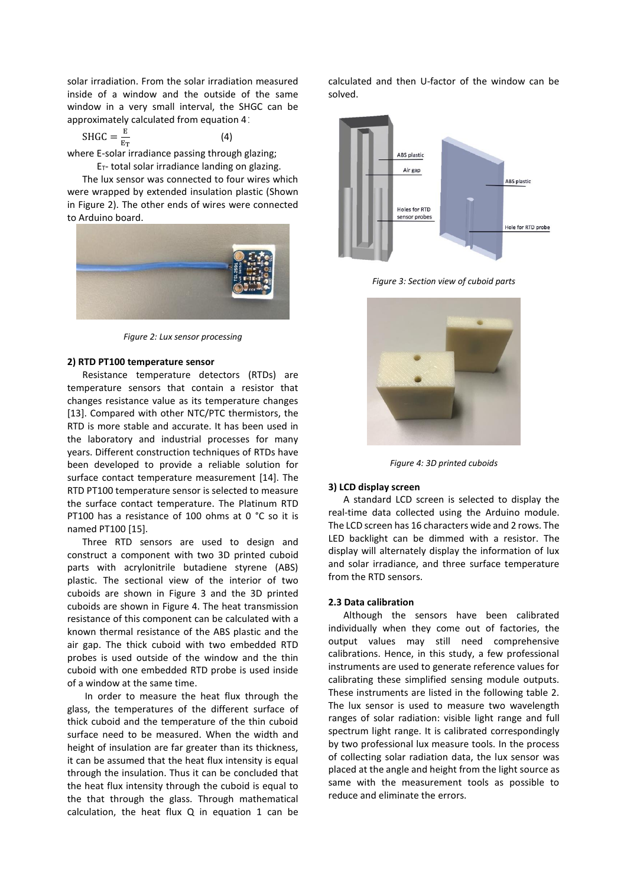solar irradiation. From the solar irradiation measured inside of a window and the outside of the same window in a very small interval, the SHGC can be approximately calculated from equation 4:

(4)

$$
SHGC = \frac{E}{E_T}
$$

where E-solar irradiance passing through glazing;

 $E_T$ - total solar irradiance landing on glazing.

The lux sensor was connected to four wires which were wrapped by extended insulation plastic (Shown in Figure 2). The other ends of wires were connected to Arduino board.



*Figure 2: Lux sensor processing*

#### **2) RTD PT100 temperature sensor**

Resistance temperature detectors (RTDs) are temperature sensors that contain a resistor that changes resistance value as its temperature changes [13]. Compared with other NTC/PTC thermistors, the RTD is more stable and accurate. It has been used in the laboratory and industrial processes for many years. Different construction techniques of RTDs have been developed to provide a reliable solution for surface contact temperature measurement [14]. The RTD PT100 temperature sensor is selected to measure the surface contact temperature. The Platinum RTD PT100 has a resistance of 100 ohms at 0 °C so it is named PT100 [15].

Three RTD sensors are used to design and construct a component with two 3D printed cuboid parts with acrylonitrile butadiene styrene (ABS) plastic. The sectional view of the interior of two cuboids are shown in Figure 3 and the 3D printed cuboids are shown in Figure 4. The heat transmission resistance of this component can be calculated with a known thermal resistance of the ABS plastic and the air gap. The thick cuboid with two embedded RTD probes is used outside of the window and the thin cuboid with one embedded RTD probe is used inside of a window at the same time.

In order to measure the heat flux through the glass, the temperatures of the different surface of thick cuboid and the temperature of the thin cuboid surface need to be measured. When the width and height of insulation are far greater than its thickness, it can be assumed that the heat flux intensity is equal through the insulation. Thus it can be concluded that the heat flux intensity through the cuboid is equal to the that through the glass. Through mathematical calculation, the heat flux Q in equation 1 can be calculated and then U-factor of the window can be solved.



*Figure 3: Section view of cuboid parts*



*Figure 4: 3D printed cuboids*

### **3) LCD display screen**

A standard LCD screen is selected to display the real-time data collected using the Arduino module. The LCD screen has 16 characters wide and 2 rows. The LED backlight can be dimmed with a resistor. The display will alternately display the information of lux and solar irradiance, and three surface temperature from the RTD sensors.

#### **2.3 Data calibration**

Although the sensors have been calibrated individually when they come out of factories, the output values may still need comprehensive calibrations. Hence, in this study, a few professional instruments are used to generate reference values for calibrating these simplified sensing module outputs. These instruments are listed in the following table 2. The lux sensor is used to measure two wavelength ranges of solar radiation: visible light range and full spectrum light range. It is calibrated correspondingly by two professional lux measure tools. In the process of collecting solar radiation data, the lux sensor was placed at the angle and height from the light source as same with the measurement tools as possible to reduce and eliminate the errors.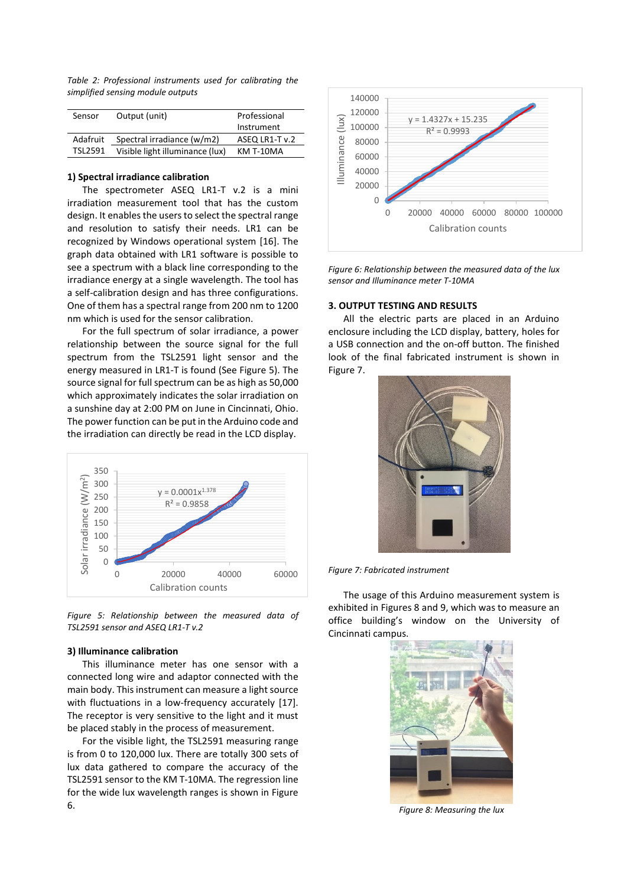*Table 2: Professional instruments used for calibrating the simplified sensing module outputs*

| Sensor         | Output (unit)                   | Professional   |
|----------------|---------------------------------|----------------|
|                |                                 | Instrument     |
| Adafruit       | Spectral irradiance (w/m2)      | ASEQ LR1-T v.2 |
| <b>TSL2591</b> | Visible light illuminance (lux) | KM T-10MA      |

## **1) Spectral irradiance calibration**

The spectrometer ASEQ LR1-T v.2 is a mini irradiation measurement tool that has the custom design. It enables the users to select the spectral range and resolution to satisfy their needs. LR1 can be recognized by Windows operational system [16]. The graph data obtained with LR1 software is possible to see a spectrum with a black line corresponding to the irradiance energy at a single wavelength. The tool has a self-calibration design and has three configurations. One of them has a spectral range from 200 nm to 1200 nm which is used for the sensor calibration.

For the full spectrum of solar irradiance, a power relationship between the source signal for the full spectrum from the TSL2591 light sensor and the energy measured in LR1-T is found (See Figure 5). The source signal for full spectrum can be as high as 50,000 which approximately indicates the solar irradiation on a sunshine day at 2:00 PM on June in Cincinnati, Ohio. The power function can be put in the Arduino code and the irradiation can directly be read in the LCD display.



*Figure 5: Relationship between the measured data of TSL2591 sensor and ASEQ LR1-T v.2*

#### **3) Illuminance calibration**

This illuminance meter has one sensor with a connected long wire and adaptor connected with the main body. This instrument can measure a light source with fluctuations in a low-frequency accurately [17]. The receptor is very sensitive to the light and it must be placed stably in the process of measurement.

For the visible light, the TSL2591 measuring range is from 0 to 120,000 lux. There are totally 300 sets of lux data gathered to compare the accuracy of the TSL2591 sensor to the KM T-10MA. The regression line for the wide lux wavelength ranges is shown in Figure 6.



*Figure 6: Relationship between the measured data of the lux sensor and Illuminance meter T-10MA*

## **3. OUTPUT TESTING AND RESULTS**

All the electric parts are placed in an Arduino enclosure including the LCD display, battery, holes for a USB connection and the on-off button. The finished look of the final fabricated instrument is shown in Figure 7.



*Figure 7: Fabricated instrument*

The usage of this Arduino measurement system is exhibited in Figures 8 and 9, which was to measure an office building's window on the University of Cincinnati campus.



*Figure 8: Measuring the lux*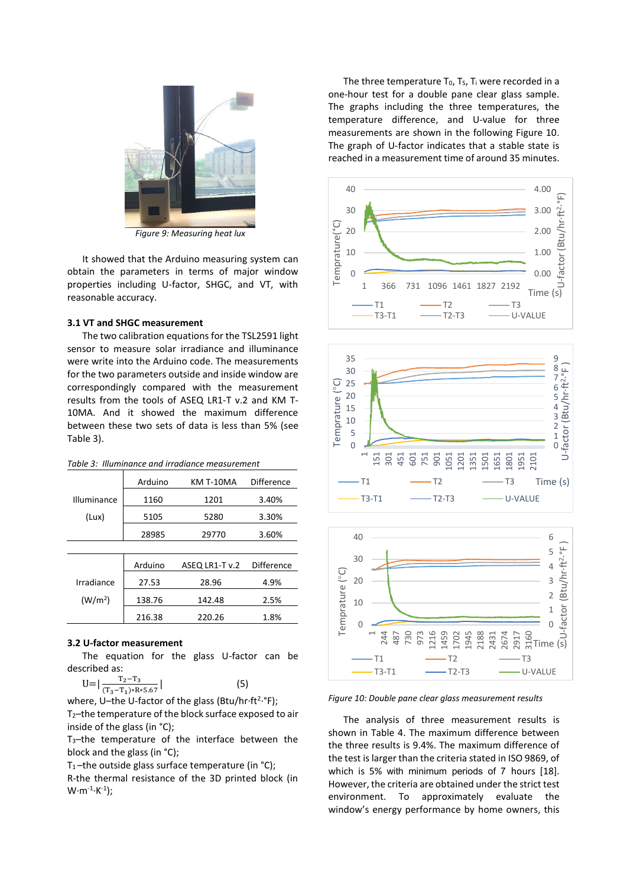

*Figure 9: Measuring heat lux*

It showed that the Arduino measuring system can obtain the parameters in terms of major window properties including U-factor, SHGC, and VT, with reasonable accuracy.

### **3.1 VT and SHGC measurement**

The two calibration equations for the TSL2591 light sensor to measure solar irradiance and illuminance were write into the Arduino code. The measurements for the two parameters outside and inside window are correspondingly compared with the measurement results from the tools of ASEQ LR1-T v.2 and KM T-10MA. And it showed the maximum difference between these two sets of data is less than 5% (see Table 3).

| Table 3: Illuminance and irradiance measurement |
|-------------------------------------------------|
|-------------------------------------------------|

|                    | Arduino | KM T-10MA      | <b>Difference</b> |
|--------------------|---------|----------------|-------------------|
| <b>Illuminance</b> | 1160    | 1201           | 3.40%             |
| (Lux)              | 5105    | 5280           | 3.30%             |
|                    | 28985   | 29770          | 3.60%             |
|                    |         |                |                   |
|                    | Arduino | ASEQ LR1-T v.2 | <b>Difference</b> |
| Irradiance         | 27 53   | ንՋ ዐፍ          | 4 Q%              |

| Irradiance          | 27.53  | 28.96  | 4.9% |
|---------------------|--------|--------|------|
| (W/m <sup>2</sup> ) | 138.76 | 142.48 | 2.5% |
|                     | 216.38 | 220.26 | 1.8% |

## **3.2 U-factor measurement**

The equation for the glass U-factor can be described as:

 $U=$  $T_2-T_3$  $($ T<sub>3</sub>−T<sub>1</sub>)∗R∗5.67</sub>  $(5)$ 

where, U-the U-factor of the glass (Btu/hr·ft<sup>2</sup>·°F); T2–the temperature of the block surface exposed to air

inside of the glass (in °C); T3–the temperature of the interface between the block and the glass (in °C);

T<sub>1</sub>-the outside glass surface temperature (in  $°C$ );

R-the thermal resistance of the 3D printed block (in  $W \cdot m^{-1} \cdot K^{-1}$ );

The three temperature  $T_0$ ,  $T_s$ ,  $T_i$  were recorded in a one-hour test for a double pane clear glass sample. The graphs including the three temperatures, the temperature difference, and U-value for three measurements are shown in the following Figure 10. The graph of U-factor indicates that a stable state is reached in a measurement time of around 35 minutes.







*Figure 10: Double pane clear glass measurement results*

The analysis of three measurement results is shown in Table 4. The maximum difference between the three results is 9.4%. The maximum difference of the test is larger than the criteria stated in ISO 9869, of which is 5% with minimum periods of 7 hours [18]. However, the criteria are obtained under the strict test environment. To approximately evaluate the window's energy performance by home owners, this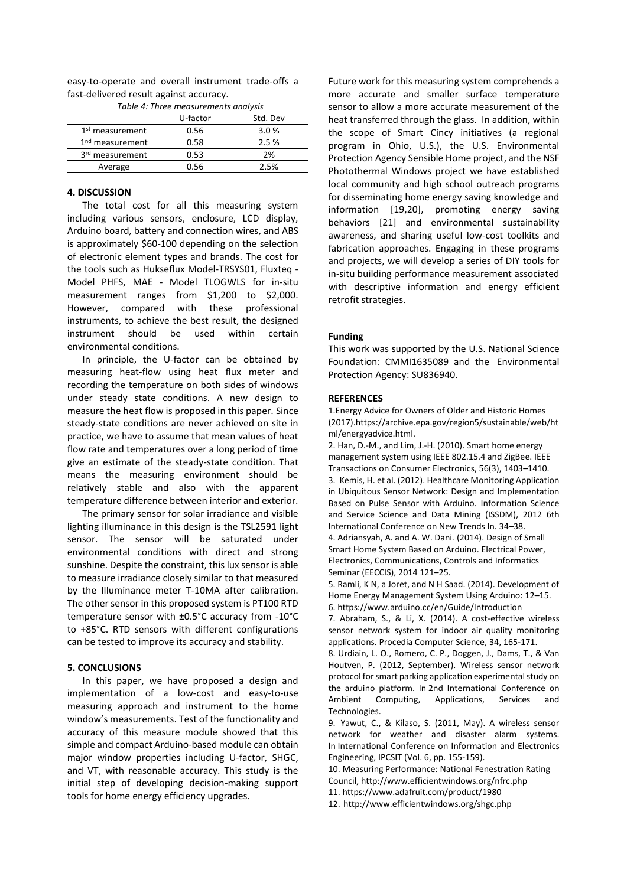| easy-to-operate and overall instrument trade-offs a |  |  |  |  |  |
|-----------------------------------------------------|--|--|--|--|--|
| fast-delivered result against accuracy.             |  |  |  |  |  |

| Table 4: Three measurements analysis |          |          |  |
|--------------------------------------|----------|----------|--|
|                                      | U-factor | Std. Dev |  |
| 1 <sup>st</sup> measurement          | 0.56     | 3.0%     |  |
| 1 <sup>nd</sup> measurement          | 0.58     | 2.5%     |  |
| 3 <sup>rd</sup> measurement          | 0.53     | 2%       |  |
| Average                              | 0.56     | 2.5%     |  |

## **4. DISCUSSION**

The total cost for all this measuring system including various sensors, enclosure, LCD display, Arduino board, battery and connection wires, and ABS is approximately \$60-100 depending on the selection of electronic element types and brands. The cost for the tools such as Hukseflux Model-TRSYS01, Fluxteq - Model PHFS, MAE - Model TLOGWLS for in-situ measurement ranges from \$1,200 to \$2,000. However, compared with these professional instruments, to achieve the best result, the designed instrument should be used within certain environmental conditions.

In principle, the U-factor can be obtained by measuring heat-flow using heat flux meter and recording the temperature on both sides of windows under steady state conditions. A new design to measure the heat flow is proposed in this paper. Since steady-state conditions are never achieved on site in practice, we have to assume that mean values of heat flow rate and temperatures over a long period of time give an estimate of the steady-state condition. That means the measuring environment should be relatively stable and also with the apparent temperature difference between interior and exterior.

The primary sensor for solar irradiance and visible lighting illuminance in this design is the TSL2591 light sensor. The sensor will be saturated under environmental conditions with direct and strong sunshine. Despite the constraint, this lux sensor is able to measure irradiance closely similar to that measured by the Illuminance meter T-10MA after calibration. The other sensor in this proposed system is PT100 RTD temperature sensor with ±0.5°C accuracy from -10°C to +85°C. RTD sensors with different configurations can be tested to improve its accuracy and stability.

#### **5. CONCLUSIONS**

In this paper, we have proposed a design and implementation of a low-cost and easy-to-use measuring approach and instrument to the home window's measurements. Test of the functionality and accuracy of this measure module showed that this simple and compact Arduino-based module can obtain major window properties including U-factor, SHGC, and VT, with reasonable accuracy. This study is the initial step of developing decision-making support tools for home energy efficiency upgrades.

Future work for this measuring system comprehends a more accurate and smaller surface temperature sensor to allow a more accurate measurement of the heat transferred through the glass. In addition, within the scope of Smart Cincy initiatives (a regional program in Ohio, U.S.), the U.S. Environmental Protection Agency Sensible Home project, and the NSF Photothermal Windows project we have established local community and high school outreach programs for disseminating home energy saving knowledge and information [19,20], promoting energy saving behaviors [21] and environmental sustainability awareness, and sharing useful low-cost toolkits and fabrication approaches. Engaging in these programs and projects, we will develop a series of DIY tools for in-situ building performance measurement associated with descriptive information and energy efficient retrofit strategies.

#### **Funding**

This work was supported by the U.S. National Science Foundation: CMMI1635089 and the Environmental Protection Agency: SU836940.

#### **REFERENCES**

1.Energy Advice for Owners of Older and Historic Homes (2017).https://archive.epa.gov/region5/sustainable/web/ht ml/energyadvice.html.

2. Han, D.-M., and Lim, J.-H. (2010). Smart home energy management system using IEEE 802.15.4 and ZigBee. IEEE Transactions on Consumer Electronics, 56(3), 1403–1410. 3. Kemis, H. et al. (2012). Healthcare Monitoring Application in Ubiquitous Sensor Network: Design and Implementation Based on Pulse Sensor with Arduino. Information Science and Service Science and Data Mining (ISSDM), 2012 6th International Conference on New Trends In. 34–38. 4. Adriansyah, A. and A. W. Dani. (2014). Design of Small Smart Home System Based on Arduino. Electrical Power, Electronics, Communications, Controls and Informatics

Seminar (EECCIS), 2014 121–25.

5. Ramli, K N, a Joret, and N H Saad. (2014). Development of Home Energy Management System Using Arduino: 12–15. 6. https://www.arduino.cc/en/Guide/Introduction

7. Abraham, S., & Li, X. (2014). A cost-effective wireless sensor network system for indoor air quality monitoring applications. Procedia Computer Science, 34, 165-171.

8. Urdiain, L. O., Romero, C. P., Doggen, J., Dams, T., & Van Houtven, P. (2012, September). Wireless sensor network protocol for smart parking application experimental study on the arduino platform. In 2nd International Conference on Ambient Computing, Applications, Services and Technologies.

9. Yawut, C., & Kilaso, S. (2011, May). A wireless sensor network for weather and disaster alarm systems. In International Conference on Information and Electronics Engineering, IPCSIT (Vol. 6, pp. 155-159).

10. Measuring Performance: National Fenestration Rating Council, <http://www.efficientwindows.org/nfrc.php>

11[. https://www.adafruit.com/product/1980](https://www.adafruit.com/product/1980)

12. <http://www.efficientwindows.org/shgc.php>